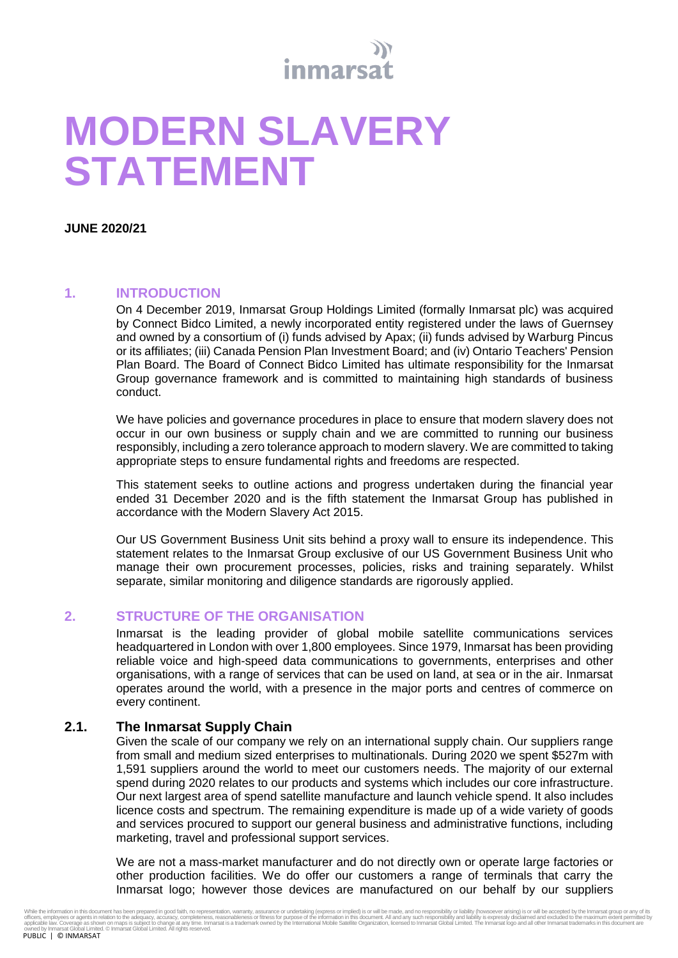

# **MODERN SLAVERY STATEMENT**

**JUNE 2020/21**

# **1. INTRODUCTION**

On 4 December 2019, Inmarsat Group Holdings Limited (formally Inmarsat plc) was acquired by Connect Bidco Limited, a newly incorporated entity registered under the laws of Guernsey and owned by a consortium of (i) funds advised by Apax; (ii) funds advised by Warburg Pincus or its affiliates; (iii) Canada Pension Plan Investment Board; and (iv) Ontario Teachers' Pension Plan Board. The Board of Connect Bidco Limited has ultimate responsibility for the Inmarsat Group governance framework and is committed to maintaining high standards of business conduct.

We have policies and governance procedures in place to ensure that modern slavery does not occur in our own business or supply chain and we are committed to running our business responsibly, including a zero tolerance approach to modern slavery. We are committed to taking appropriate steps to ensure fundamental rights and freedoms are respected.

This statement seeks to outline actions and progress undertaken during the financial year ended 31 December 2020 and is the fifth statement the Inmarsat Group has published in accordance with the Modern Slavery Act 2015.

Our US Government Business Unit sits behind a proxy wall to ensure its independence. This statement relates to the Inmarsat Group exclusive of our US Government Business Unit who manage their own procurement processes, policies, risks and training separately. Whilst separate, similar monitoring and diligence standards are rigorously applied.

# **2. STRUCTURE OF THE ORGANISATION**

Inmarsat is the leading provider of global mobile satellite communications services headquartered in London with over 1,800 employees. Since 1979, Inmarsat has been providing reliable voice and high-speed data communications to governments, enterprises and other organisations, with a range of services that can be used on land, at sea or in the air. Inmarsat operates around the world, with a presence in the major ports and centres of commerce on every continent.

# **2.1. The Inmarsat Supply Chain**

Given the scale of our company we rely on an international supply chain. Our suppliers range from small and medium sized enterprises to multinationals. During 2020 we spent \$527m with 1,591 suppliers around the world to meet our customers needs. The majority of our external spend during 2020 relates to our products and systems which includes our core infrastructure. Our next largest area of spend satellite manufacture and launch vehicle spend. It also includes licence costs and spectrum. The remaining expenditure is made up of a wide variety of goods and services procured to support our general business and administrative functions, including marketing, travel and professional support services.

We are not a mass-market manufacturer and do not directly own or operate large factories or other production facilities. We do offer our customers a range of terminals that carry the Inmarsat logo; however those devices are manufactured on our behalf by our suppliers

While the information in this document has ben prepared in good raith, no representation, waranchy, assurance or undertaking (express inclusion in this document. All and any such responsibility and liability is expressive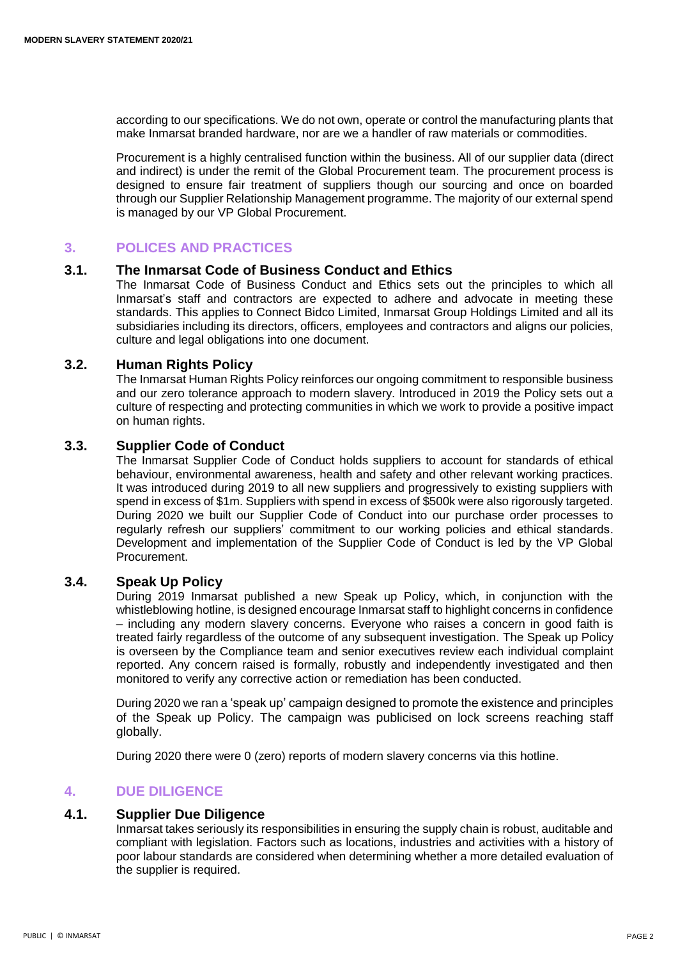according to our specifications. We do not own, operate or control the manufacturing plants that make Inmarsat branded hardware, nor are we a handler of raw materials or commodities.

Procurement is a highly centralised function within the business. All of our supplier data (direct and indirect) is under the remit of the Global Procurement team. The procurement process is designed to ensure fair treatment of suppliers though our sourcing and once on boarded through our Supplier Relationship Management programme. The majority of our external spend is managed by our VP Global Procurement.

# **3. POLICES AND PRACTICES**

#### **3.1. The Inmarsat Code of Business Conduct and Ethics**

The Inmarsat Code of Business Conduct and Ethics sets out the principles to which all Inmarsat's staff and contractors are expected to adhere and advocate in meeting these standards. This applies to Connect Bidco Limited, Inmarsat Group Holdings Limited and all its subsidiaries including its directors, officers, employees and contractors and aligns our policies, culture and legal obligations into one document.

#### **3.2. Human Rights Policy**

The Inmarsat Human Rights Policy reinforces our ongoing commitment to responsible business and our zero tolerance approach to modern slavery. Introduced in 2019 the Policy sets out a culture of respecting and protecting communities in which we work to provide a positive impact on human rights.

## **3.3. Supplier Code of Conduct**

The Inmarsat Supplier Code of Conduct holds suppliers to account for standards of ethical behaviour, environmental awareness, health and safety and other relevant working practices. It was introduced during 2019 to all new suppliers and progressively to existing suppliers with spend in excess of \$1m. Suppliers with spend in excess of \$500k were also rigorously targeted. During 2020 we built our Supplier Code of Conduct into our purchase order processes to regularly refresh our suppliers' commitment to our working policies and ethical standards. Development and implementation of the Supplier Code of Conduct is led by the VP Global Procurement

## **3.4. Speak Up Policy**

During 2019 Inmarsat published a new Speak up Policy, which, in conjunction with the whistleblowing hotline, is designed encourage Inmarsat staff to highlight concerns in confidence – including any modern slavery concerns. Everyone who raises a concern in good faith is treated fairly regardless of the outcome of any subsequent investigation. The Speak up Policy is overseen by the Compliance team and senior executives review each individual complaint reported. Any concern raised is formally, robustly and independently investigated and then monitored to verify any corrective action or remediation has been conducted.

During 2020 we ran a 'speak up' campaign designed to promote the existence and principles of the Speak up Policy. The campaign was publicised on lock screens reaching staff globally.

During 2020 there were 0 (zero) reports of modern slavery concerns via this hotline.

# **4. DUE DILIGENCE**

#### **4.1. Supplier Due Diligence**

Inmarsat takes seriously its responsibilities in ensuring the supply chain is robust, auditable and compliant with legislation. Factors such as locations, industries and activities with a history of poor labour standards are considered when determining whether a more detailed evaluation of the supplier is required.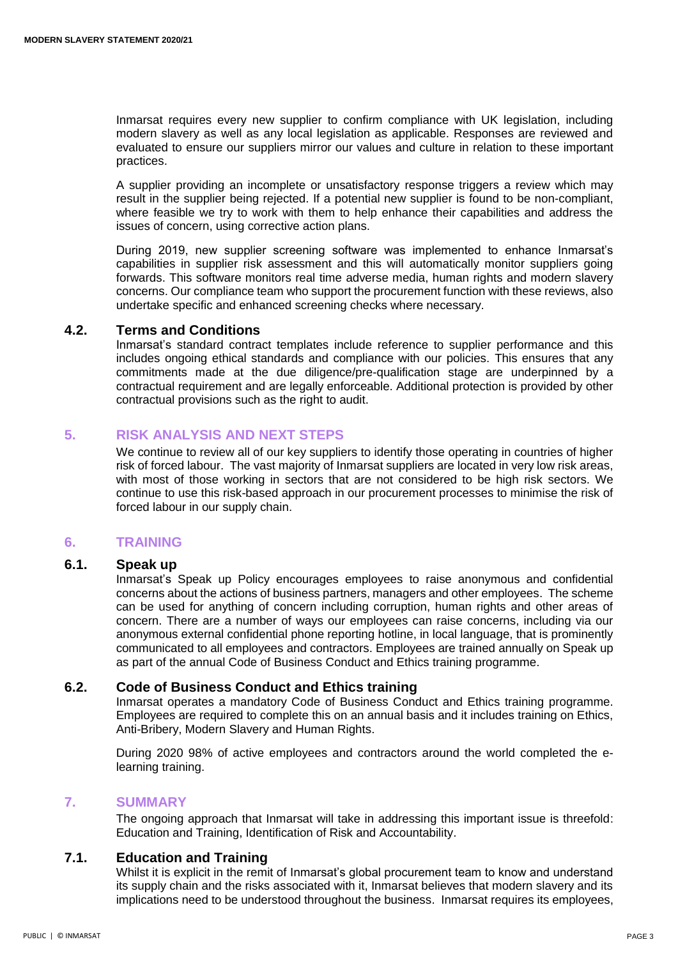Inmarsat requires every new supplier to confirm compliance with UK legislation, including modern slavery as well as any local legislation as applicable. Responses are reviewed and evaluated to ensure our suppliers mirror our values and culture in relation to these important practices.

A supplier providing an incomplete or unsatisfactory response triggers a review which may result in the supplier being rejected. If a potential new supplier is found to be non-compliant, where feasible we try to work with them to help enhance their capabilities and address the issues of concern, using corrective action plans.

During 2019, new supplier screening software was implemented to enhance Inmarsat's capabilities in supplier risk assessment and this will automatically monitor suppliers going forwards. This software monitors real time adverse media, human rights and modern slavery concerns. Our compliance team who support the procurement function with these reviews, also undertake specific and enhanced screening checks where necessary.

#### **4.2. Terms and Conditions**

Inmarsat's standard contract templates include reference to supplier performance and this includes ongoing ethical standards and compliance with our policies. This ensures that any commitments made at the due diligence/pre-qualification stage are underpinned by a contractual requirement and are legally enforceable. Additional protection is provided by other contractual provisions such as the right to audit.

## **5. RISK ANALYSIS AND NEXT STEPS**

We continue to review all of our key suppliers to identify those operating in countries of higher risk of forced labour. The vast majority of Inmarsat suppliers are located in very low risk areas, with most of those working in sectors that are not considered to be high risk sectors. We continue to use this risk-based approach in our procurement processes to minimise the risk of forced labour in our supply chain.

# **6. TRAINING**

#### **6.1. Speak up**

Inmarsat's Speak up Policy encourages employees to raise anonymous and confidential concerns about the actions of business partners, managers and other employees. The scheme can be used for anything of concern including corruption, human rights and other areas of concern. There are a number of ways our employees can raise concerns, including via our anonymous external confidential phone reporting hotline, in local language, that is prominently communicated to all employees and contractors. Employees are trained annually on Speak up as part of the annual Code of Business Conduct and Ethics training programme.

#### **6.2. Code of Business Conduct and Ethics training**

Inmarsat operates a mandatory Code of Business Conduct and Ethics training programme. Employees are required to complete this on an annual basis and it includes training on Ethics, Anti-Bribery, Modern Slavery and Human Rights.

During 2020 98% of active employees and contractors around the world completed the elearning training.

#### **7. SUMMARY**

The ongoing approach that Inmarsat will take in addressing this important issue is threefold: Education and Training, Identification of Risk and Accountability.

# **7.1. Education and Training**

Whilst it is explicit in the remit of Inmarsat's global procurement team to know and understand its supply chain and the risks associated with it, Inmarsat believes that modern slavery and its implications need to be understood throughout the business. Inmarsat requires its employees,